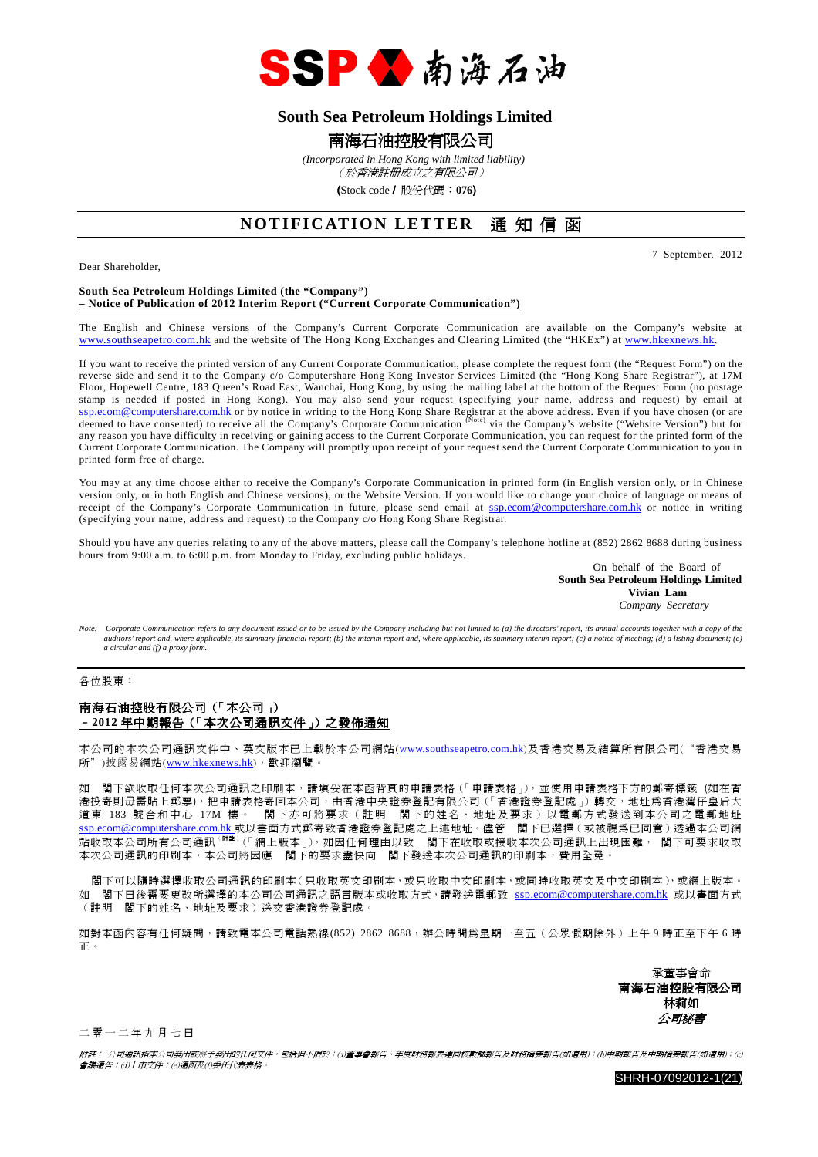

## **South Sea Petroleum Holdings Limited**

## 南海石油控股有限公司

 *(Incorporated in Hong Kong with limited liability)*

(於香港註冊成立之有限公司)

(Stock code/ 股份代碼:**076**)

# **NOTIFICATION LETTER** 通知信函

Dear Shareholder,

7 September, 2012

### **South Sea Petroleum Holdings Limited (the "Company") – Notice of Publication of 2012 Interim Report ("Current Corporate Communication")**

The English and Chinese versions of the Company's Current Corporate Communication are available on the Company's website at www.southseapetro.com.hk and the website of The Hong Kong Exchanges and Clearing Limited (the "HKEx") at www.hkexnews.hk.

If you want to receive the printed version of any Current Corporate Communication, please complete the request form (the "Request Form") on the reverse side and send it to the Company c/o Computershare Hong Kong Investor Services Limited (the "Hong Kong Share Registrar"), at 17M Floor, Hopewell Centre, 183 Queen's Road East, Wanchai, Hong Kong, by using the mailing label at the bottom of the Request Form (no postage stamp is needed if posted in Hong Kong). You may also send your request (specifying your name, address and request) by email at ssp.ecom@computershare.com.hk or by notice in writing to the Hong Kong Share Registrar at the above address. Even if you have chosen (or are<br>deemed to have consented) to receive all the Company's Corporate Communication <sup>(</sup> any reason you have difficulty in receiving or gaining access to the Current Corporate Communication, you can request for the printed form of the any reason you have difficulty in receiving or gaining access to the Current Current Corporate Communication. The Company will promptly upon receipt of your request send the Current Corporate Communication to you in printed form free of charge.

You may at any time choose either to receive the Company's Corporate Communication in printed form (in English version only, or in Chinese version only, or in both English and Chinese versions), or the Website Version. If you would like to change your choice of language or means of receipt of the Company's Corporate Communication in future, please send email at ssp.ecom@computershare.com.hk or notice in writing (specifying your name, address and request) to the Company c/o Hong Kong Share Registrar.

Should you have any queries relating to any of the above matters, please call the Company's telephone hotline at (852) 2862 8688 during business hours from 9:00 a.m. to 6:00 p.m. from Monday to Friday, excluding public holidays.

On behalf of the Board of **South Sea Petroleum Holdings Limited Vivian Lam**  *Company Secretary* 

Note: Corporate Communication refers to any document issued or to be issued by the Company including but not limited to (a) the directors' report, its annual accounts together with a copy of the *auditors' report and, where applicable, its summary financial report; (b) the interim report and, where applicable, its summary interim report; (c) a notice of meeting; (d) a listing document; (e) a circular and (f) a proxy form.* 

各位股東:

## 南海石油控股有限公司(「本公司」) –**2012** 年中期報告(「本次公司通訊文件」)之發佈通知

本公司的本次公司通訊文件中、 英文版本已上載於本公司網站(www.southseapetro.com.hk)及香港交易及結算所有限公司("香港交易 所")披露易網站(www.hkexnews.hk),歡迎瀏覽。

如 閣下欲收取任何本次公司通訊之印刷本,請填妥在本函背頁的申請表格(「申請表格」),並使用申請表格下方的郵寄標籤 (如在香 港投寄則毋需貼上郵票),把申請表格寄回本公司,由香港中央證券登記有限公司(「香港證券登記處」)轉交,地址為香港灣仔皇后大 道東 183 號合和中心 17M 樓。 閣下亦可將要求(註明 閣下的姓名、地址及要求)以電郵方式發送到本公司之電郵地址 s<u>sp.ecom@computershare.com.hk</u> 或以書面方式郵寄致香港證券登記處之上述地址。儘管 閣下已選擇 ( 或被視爲已同意 ) 透過本公司網 站收取本公司所有公司通訊<sup>(附註)</sup>(「網上版本」),如因任何理由以致 閣下在收取或接收本次公司通訊上出現困難, 閣下可要求收取 本次公司通訊的印刷本,本公司將因應 閣下的要求盡快向 閣下發送本次公司通訊的印刷本,費用全免。

 閣下可以隨時選擇收取公司通訊的印刷本(只收取英文印刷本,或只收取中文印刷本,或同時收取英文及中文印刷本),或網上版本。 如 閣下日後需要更改所選擇的本公司公司通訊之語言版本或收取方式,請發送電郵致 ssp.ecom@computershare.com.hk 或以書面方式 (註明 閣下的姓名、地址及要求)送交香港證券登記處。

如對本函內容有任何疑問,請致電本公司電話熱線(852) 2862 8688,辦公時間為星期一至五(公眾假期除外)上午 9 時正至下午 6 時 正。

> 承董事會命 南海石油控股有限公司 林莉如 公司秘書

二 零 一 二 年 九 月 七 日

附註: 公司通訊指本公司發出或將予發出的任何文件,包括但不限於:(a)董事會報告、年度財務報表連同核數師報告及財務摘要報告(如適用);(b)中期報告及中期摘要報告(如適用);(c) 會議通告;(d)上市文件;(e)通函及(f)委任代表表格。

SHRH-07092012-1(21)